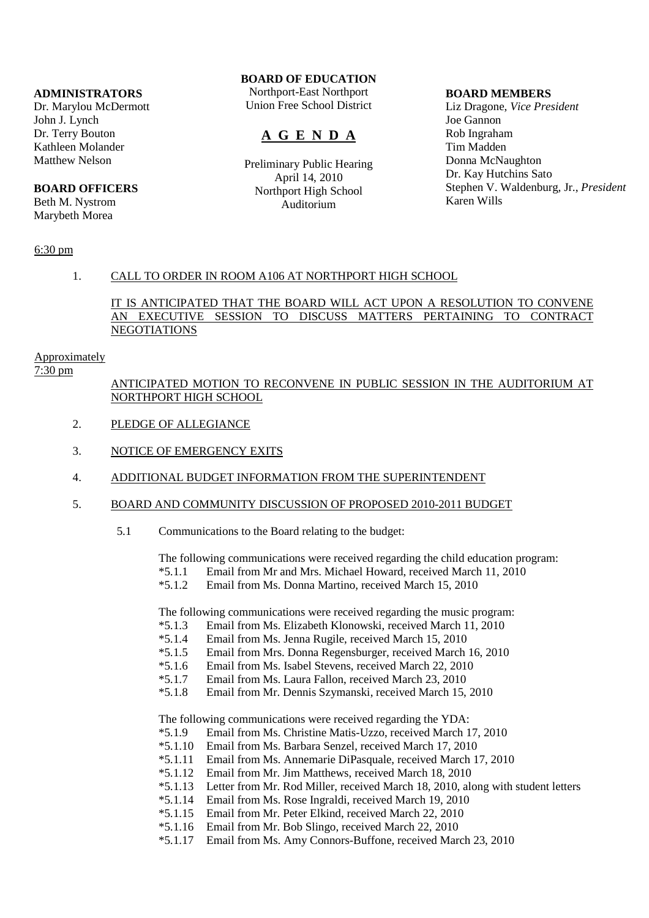# **ADMINISTRATORS**

Dr. Marylou McDermott John J. Lynch Dr. Terry Bouton Kathleen Molander Matthew Nelson

### **BOARD OFFICERS**

Beth M. Nystrom Marybeth Morea

# **BOARD OF EDUCATION**

Northport-East Northport Union Free School District

# **A G E N D A**

Preliminary Public Hearing April 14, 2010 Northport High School Auditorium

#### **BOARD MEMBERS**

Liz Dragone, *Vice President* Joe Gannon Rob Ingraham Tim Madden Donna McNaughton Dr. Kay Hutchins Sato Stephen V. Waldenburg, Jr., *President* Karen Wills

## 6:30 pm

### 1. CALL TO ORDER IN ROOM A106 AT NORTHPORT HIGH SCHOOL

# IT IS ANTICIPATED THAT THE BOARD WILL ACT UPON A RESOLUTION TO CONVENE AN EXECUTIVE SESSION TO DISCUSS MATTERS PERTAINING TO CONTRACT NEGOTIATIONS

#### Approximately

7:30 pm

# ANTICIPATED MOTION TO RECONVENE IN PUBLIC SESSION IN THE AUDITORIUM AT NORTHPORT HIGH SCHOOL

- 2. PLEDGE OF ALLEGIANCE
- 3. NOTICE OF EMERGENCY EXITS

### 4. ADDITIONAL BUDGET INFORMATION FROM THE SUPERINTENDENT

- 5. BOARD AND COMMUNITY DISCUSSION OF PROPOSED 2010-2011 BUDGET
	- 5.1 Communications to the Board relating to the budget:

The following communications were received regarding the child education program:<br>\*5.1.1 Email from Mr and Mrs. Michael Howard, received March 11, 2010 Email from Mr and Mrs. Michael Howard, received March 11, 2010

\*5.1.2 Email from Ms. Donna Martino, received March 15, 2010

The following communications were received regarding the music program:

- \*5.1.3 Email from Ms. Elizabeth Klonowski, received March 11, 2010
- Email from Ms. Jenna Rugile, received March 15, 2010
- \*5.1.5 Email from Mrs. Donna Regensburger, received March 16, 2010
- \*5.1.6 Email from Ms. Isabel Stevens, received March 22, 2010
- \*5.1.7 Email from Ms. Laura Fallon, received March 23, 2010
- \*5.1.8 Email from Mr. Dennis Szymanski, received March 15, 2010

The following communications were received regarding the YDA:<br>\*5.1.9 Email from Ms. Christine Matis-Uzzo, received March 1

- Email from Ms. Christine Matis-Uzzo, received March 17, 2010
- \*5.1.10 Email from Ms. Barbara Senzel, received March 17, 2010
- \*5.1.11 Email from Ms. Annemarie DiPasquale, received March 17, 2010
- \*5.1.12 Email from Mr. Jim Matthews, received March 18, 2010
- \*5.1.13 Letter from Mr. Rod Miller, received March 18, 2010, along with student letters
- \*5.1.14 Email from Ms. Rose Ingraldi, received March 19, 2010
- \*5.1.15 Email from Mr. Peter Elkind, received March 22, 2010
- \*5.1.16 Email from Mr. Bob Slingo, received March 22, 2010
- Email from Ms. Amy Connors-Buffone, received March 23, 2010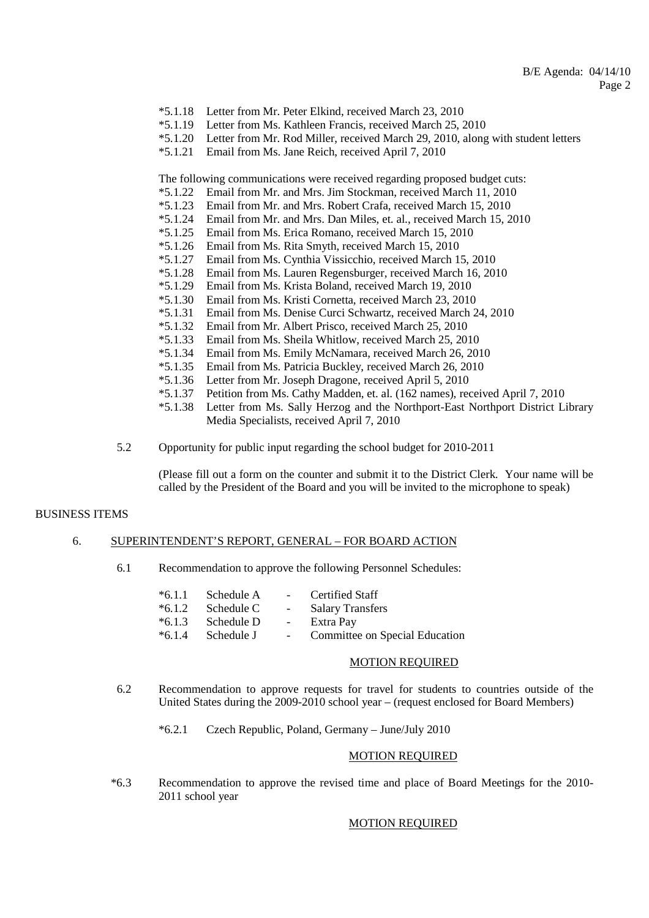- \*5.1.18 Letter from Mr. Peter Elkind, received March 23, 2010
- \*5.1.19 Letter from Ms. Kathleen Francis, received March 25, 2010
- \*5.1.20 Letter from Mr. Rod Miller, received March 29, 2010, along with student letters
- \*5.1.21 Email from Ms. Jane Reich, received April 7, 2010

The following communications were received regarding proposed budget cuts:

- \*5.1.22 Email from Mr. and Mrs. Jim Stockman, received March 11, 2010
- \*5.1.23 Email from Mr. and Mrs. Robert Crafa, received March 15, 2010
- \*5.1.24 Email from Mr. and Mrs. Dan Miles, et. al., received March 15, 2010
- \*5.1.25 Email from Ms. Erica Romano, received March 15, 2010
- Email from Ms. Rita Smyth, received March 15, 2010
- \*5.1.27 Email from Ms. Cynthia Vissicchio, received March 15, 2010
- \*5.1.28 Email from Ms. Lauren Regensburger, received March 16, 2010
- \*5.1.29 Email from Ms. Krista Boland, received March 19, 2010
- \*5.1.30 Email from Ms. Kristi Cornetta, received March 23, 2010
- \*5.1.31 Email from Ms. Denise Curci Schwartz, received March 24, 2010
- \*5.1.32 Email from Mr. Albert Prisco, received March 25, 2010
- \*5.1.33 Email from Ms. Sheila Whitlow, received March 25, 2010
- \*5.1.34 Email from Ms. Emily McNamara, received March 26, 2010
- \*5.1.35 Email from Ms. Patricia Buckley, received March 26, 2010
- \*5.1.36 Letter from Mr. Joseph Dragone, received April 5, 2010
- Petition from Ms. Cathy Madden, et. al. (162 names), received April 7, 2010
- \*5.1.38 Letter from Ms. Sally Herzog and the Northport-East Northport District Library Media Specialists, received April 7, 2010
- 5.2 Opportunity for public input regarding the school budget for 2010-2011

 (Please fill out a form on the counter and submit it to the District Clerk. Your name will be called by the President of the Board and you will be invited to the microphone to speak)

### BUSINESS ITEMS

### 6. SUPERINTENDENT'S REPORT, GENERAL – FOR BOARD ACTION

6.1 Recommendation to approve the following Personnel Schedules:

|           | $*6.1.1$ Schedule A | <b>Contract Contract</b> | Certified Staff            |
|-----------|---------------------|--------------------------|----------------------------|
|           | $*6.1.2$ Schedule C | $\sim 100$               | <b>Salary Transfers</b>    |
| $*6.1.3$  | Schedule D          | $\sim$ $-$               | Extra Pay                  |
| $*$ 6 1 1 | Cahadula I          |                          | $Commitian on Quasiel Edu$ |

\*6.1.4 Schedule J - Committee on Special Education

#### MOTION REQUIRED

- 6.2 Recommendation to approve requests for travel for students to countries outside of the United States during the 2009-2010 school year – (request enclosed for Board Members)
	- \*6.2.1 Czech Republic, Poland, Germany June/July 2010

# MOTION REQUIRED

 \*6.3 Recommendation to approve the revised time and place of Board Meetings for the 2010- 2011 school year

#### MOTION REQUIRED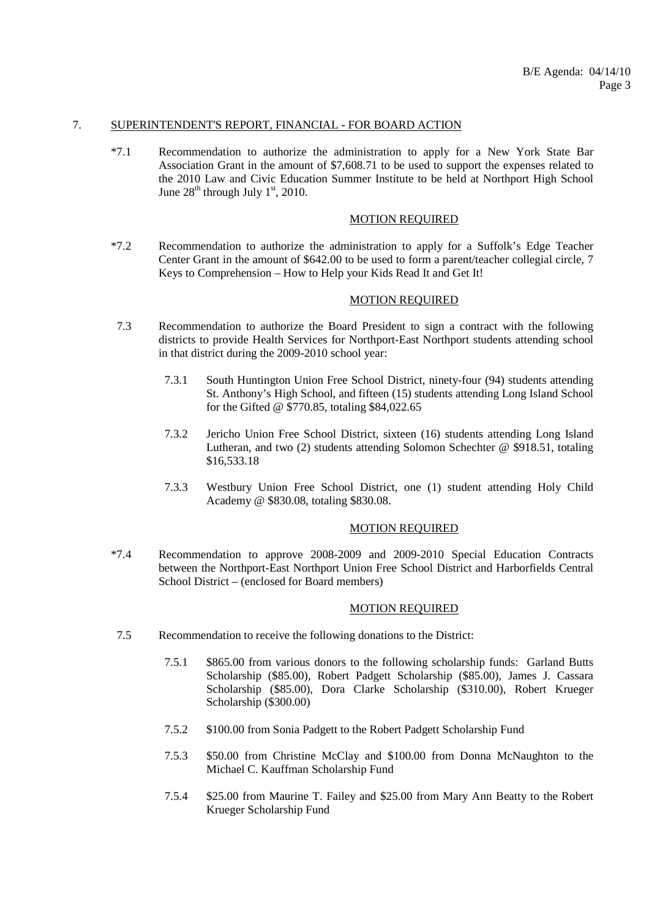## 7. SUPERINTENDENT'S REPORT, FINANCIAL - FOR BOARD ACTION

 \*7.1 Recommendation to authorize the administration to apply for a New York State Bar Association Grant in the amount of \$7,608.71 to be used to support the expenses related to the 2010 Law and Civic Education Summer Institute to be held at Northport High School June  $28^{th}$  through July 1<sup>st</sup>, 2010.

### MOTION REQUIRED

 \*7.2 Recommendation to authorize the administration to apply for a Suffolk's Edge Teacher Center Grant in the amount of \$642.00 to be used to form a parent/teacher collegial circle, 7 Keys to Comprehension – How to Help your Kids Read It and Get It!

### MOTION REQUIRED

- 7.3 Recommendation to authorize the Board President to sign a contract with the following districts to provide Health Services for Northport-East Northport students attending school in that district during the 2009-2010 school year:
	- 7.3.1 South Huntington Union Free School District, ninety-four (94) students attending St. Anthony's High School, and fifteen (15) students attending Long Island School for the Gifted @ \$770.85, totaling \$84,022.65
	- 7.3.2 Jericho Union Free School District, sixteen (16) students attending Long Island Lutheran, and two (2) students attending Solomon Schechter @ \$918.51, totaling \$16,533.18
	- 7.3.3 Westbury Union Free School District, one (1) student attending Holy Child Academy @ \$830.08, totaling \$830.08.

#### MOTION REQUIRED

 \*7.4 Recommendation to approve 2008-2009 and 2009-2010 Special Education Contracts between the Northport-East Northport Union Free School District and Harborfields Central School District – (enclosed for Board members)

#### MOTION REQUIRED

- 7.5 Recommendation to receive the following donations to the District:
	- 7.5.1 \$865.00 from various donors to the following scholarship funds: Garland Butts Scholarship (\$85.00), Robert Padgett Scholarship (\$85.00), James J. Cassara Scholarship (\$85.00), Dora Clarke Scholarship (\$310.00), Robert Krueger Scholarship (\$300.00)
	- 7.5.2 \$100.00 from Sonia Padgett to the Robert Padgett Scholarship Fund
	- 7.5.3 \$50.00 from Christine McClay and \$100.00 from Donna McNaughton to the Michael C. Kauffman Scholarship Fund
	- 7.5.4 \$25.00 from Maurine T. Failey and \$25.00 from Mary Ann Beatty to the Robert Krueger Scholarship Fund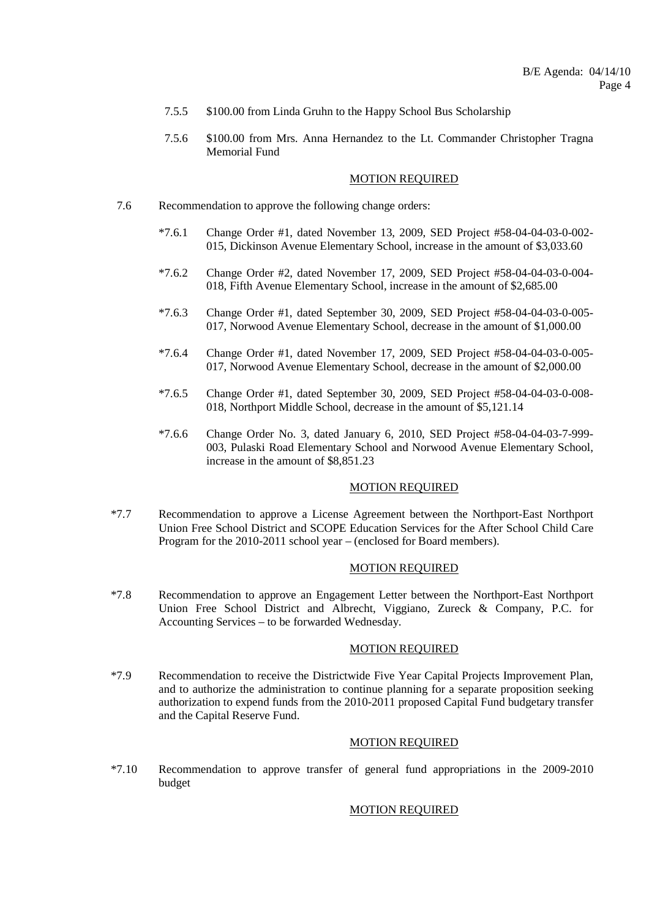- 7.5.5 \$100.00 from Linda Gruhn to the Happy School Bus Scholarship
- 7.5.6 \$100.00 from Mrs. Anna Hernandez to the Lt. Commander Christopher Tragna Memorial Fund

#### MOTION REQUIRED

- 7.6 Recommendation to approve the following change orders:
	- \*7.6.1 Change Order #1, dated November 13, 2009, SED Project #58-04-04-03-0-002- 015, Dickinson Avenue Elementary School, increase in the amount of \$3,033.60
	- \*7.6.2 Change Order #2, dated November 17, 2009, SED Project #58-04-04-03-0-004- 018, Fifth Avenue Elementary School, increase in the amount of \$2,685.00
	- \*7.6.3 Change Order #1, dated September 30, 2009, SED Project #58-04-04-03-0-005- 017, Norwood Avenue Elementary School, decrease in the amount of \$1,000.00
	- \*7.6.4 Change Order #1, dated November 17, 2009, SED Project #58-04-04-03-0-005- 017, Norwood Avenue Elementary School, decrease in the amount of \$2,000.00
	- \*7.6.5 Change Order #1, dated September 30, 2009, SED Project #58-04-04-03-0-008- 018, Northport Middle School, decrease in the amount of \$5,121.14
	- \*7.6.6 Change Order No. 3, dated January 6, 2010, SED Project #58-04-04-03-7-999- 003, Pulaski Road Elementary School and Norwood Avenue Elementary School, increase in the amount of \$8,851.23

### MOTION REQUIRED

 \*7.7 Recommendation to approve a License Agreement between the Northport-East Northport Union Free School District and SCOPE Education Services for the After School Child Care Program for the 2010-2011 school year – (enclosed for Board members).

#### MOTION REQUIRED

 \*7.8 Recommendation to approve an Engagement Letter between the Northport-East Northport Union Free School District and Albrecht, Viggiano, Zureck & Company, P.C. for Accounting Services – to be forwarded Wednesday.

### MOTION REQUIRED

 \*7.9 Recommendation to receive the Districtwide Five Year Capital Projects Improvement Plan, and to authorize the administration to continue planning for a separate proposition seeking authorization to expend funds from the 2010-2011 proposed Capital Fund budgetary transfer and the Capital Reserve Fund.

# MOTION REQUIRED

 \*7.10 Recommendation to approve transfer of general fund appropriations in the 2009-2010 budget

### MOTION REQUIRED